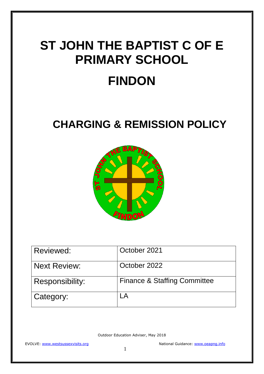# **ST JOHN THE BAPTIST C OF E PRIMARY SCHOOL FINDON**

### **CHARGING & REMISSION POLICY**



| Reviewed:              | October 2021                            |
|------------------------|-----------------------------------------|
| <b>Next Review:</b>    | October 2022                            |
| <b>Responsibility:</b> | <b>Finance &amp; Staffing Committee</b> |
| Category:              |                                         |

Outdoor Education Adviser, May 2018

EVOLVE: [www.westsussexvisits.org](http://www.westsussexvisits.org/) National Guidance: [www.oeapng.info](http://www.oeapng.info/)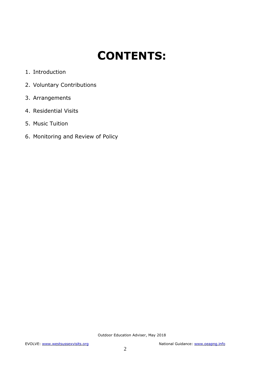## **CONTENTS:**

- 1. Introduction
- 2. Voluntary Contributions
- 3. Arrangements
- 4. Residential Visits
- 5. Music Tuition
- 6. Monitoring and Review of Policy

Outdoor Education Adviser, May 2018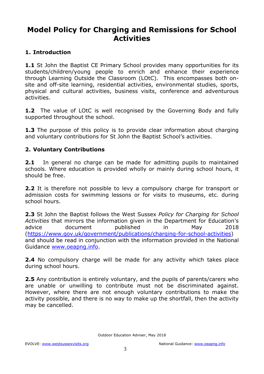### **Model Policy for Charging and Remissions for School Activities**

#### **1. Introduction**

**1.1** St John the Baptist CE Primary School provides many opportunities for its students/children/young people to enrich and enhance their experience through Learning Outside the Classroom (LOtC). This encompasses both onsite and off-site learning, residential activities, environmental studies, sports, physical and cultural activities, business visits, conference and adventurous activities.

**1.2** The value of LOtC is well recognised by the Governing Body and fully supported throughout the school.

**1.3** The purpose of this policy is to provide clear information about charging and voluntary contributions for St John the Baptist School's activities.

#### **2. Voluntary Contributions**

**2.1** In general no charge can be made for admitting pupils to maintained schools. Where education is provided wholly or mainly during school hours, it should be free.

**2.2** It is therefore not possible to levy a compulsory charge for transport or admission costs for swimming lessons or for visits to museums, etc. during school hours.

**2.3** St John the Baptist follows the West Sussex *Policy for Charging for School Activities* that mirrors the information given in the Department for Education's advice document published in May 2018 [\(https://www.gov.uk/government/publications/charging-for-school-activities\)](https://www.gov.uk/government/publications/charging-for-school-activities) and should be read in conjunction with the information provided in the National Guidance [www.oeapng.info.](http://www.oeapng.info/)

**2.4** No compulsory charge will be made for any activity which takes place during school hours.

**2.5** Any contribution is entirely voluntary, and the pupils of parents/carers who are unable or unwilling to contribute must not be discriminated against. However, where there are not enough voluntary contributions to make the activity possible, and there is no way to make up the shortfall, then the activity may be cancelled.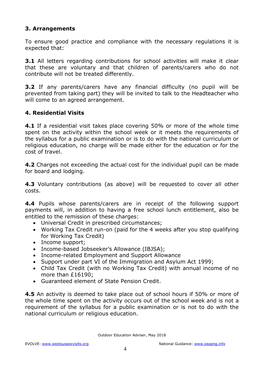#### **3. Arrangements**

To ensure good practice and compliance with the necessary regulations it is expected that:

**3.1** All letters regarding contributions for school activities will make it clear that these are voluntary and that children of parents/carers who do not contribute will not be treated differently.

**3.2** If any parents/carers have any financial difficulty (no pupil will be prevented from taking part) they will be invited to talk to the Headteacher who will come to an agreed arrangement.

#### **4. Residential Visits**

**4.1** If a residential visit takes place covering 50% or more of the whole time spent on the activity within the school week or it meets the requirements of the syllabus for a public examination or is to do with the national curriculum or religious education, no charge will be made either for the education or for the cost of travel.

**4.2** Charges not exceeding the actual cost for the individual pupil can be made for board and lodging.

**4.3** Voluntary contributions (as above) will be requested to cover all other costs.

**4.4** Pupils whose parents/carers are in receipt of the following support payments will, in addition to having a free school lunch entitlement, also be entitled to the remission of these charges:

- Universal Credit in prescribed circumstances;
- Working Tax Credit run-on (paid for the 4 weeks after you stop qualifying for Working Tax Credit)
- Income support;
- Income-based Jobseeker's Allowance (IBJSA);
- Income-related Employment and Support Allowance
- Support under part VI of the Immigration and Asylum Act 1999;
- Child Tax Credit (with no Working Tax Credit) with annual income of no more than £16190;
- Guaranteed element of State Pension Credit.

**4.5** An activity is deemed to take place out of school hours if 50% or more of the whole time spent on the activity occurs out of the school week and is not a requirement of the syllabus for a public examination or is not to do with the national curriculum or religious education.

Outdoor Education Adviser, May 2018